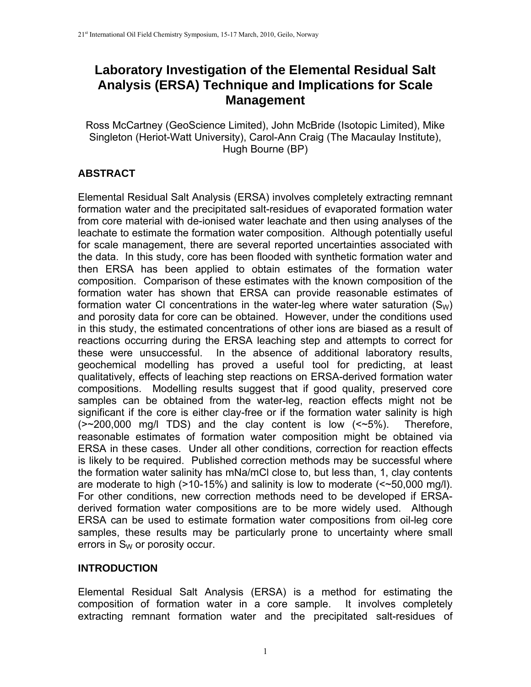# **Laboratory Investigation of the Elemental Residual Salt Analysis (ERSA) Technique and Implications for Scale Management**

Ross McCartney (GeoScience Limited), John McBride (Isotopic Limited), Mike Singleton (Heriot-Watt University), Carol-Ann Craig (The Macaulay Institute), Hugh Bourne (BP)

# **ABSTRACT**

Elemental Residual Salt Analysis (ERSA) involves completely extracting remnant formation water and the precipitated salt-residues of evaporated formation water from core material with de-ionised water leachate and then using analyses of the leachate to estimate the formation water composition. Although potentially useful for scale management, there are several reported uncertainties associated with the data. In this study, core has been flooded with synthetic formation water and then ERSA has been applied to obtain estimates of the formation water composition. Comparison of these estimates with the known composition of the formation water has shown that ERSA can provide reasonable estimates of formation water CI concentrations in the water-leg where water saturation  $(S_W)$ and porosity data for core can be obtained. However, under the conditions used in this study, the estimated concentrations of other ions are biased as a result of reactions occurring during the ERSA leaching step and attempts to correct for these were unsuccessful. In the absence of additional laboratory results, geochemical modelling has proved a useful tool for predicting, at least qualitatively, effects of leaching step reactions on ERSA-derived formation water compositions. Modelling results suggest that if good quality, preserved core samples can be obtained from the water-leg, reaction effects might not be significant if the core is either clay-free or if the formation water salinity is high  $(-200,000 \text{ mg/l}$  TDS) and the clay content is low  $(-5\%)$ . Therefore, reasonable estimates of formation water composition might be obtained via ERSA in these cases. Under all other conditions, correction for reaction effects is likely to be required. Published correction methods may be successful where the formation water salinity has mNa/mCl close to, but less than, 1, clay contents are moderate to high (>10-15%) and salinity is low to moderate (<~50,000 mg/l). For other conditions, new correction methods need to be developed if ERSAderived formation water compositions are to be more widely used. Although ERSA can be used to estimate formation water compositions from oil-leg core samples, these results may be particularly prone to uncertainty where small errors in  $S_W$  or porosity occur.

# **INTRODUCTION**

Elemental Residual Salt Analysis (ERSA) is a method for estimating the composition of formation water in a core sample. It involves completely extracting remnant formation water and the precipitated salt-residues of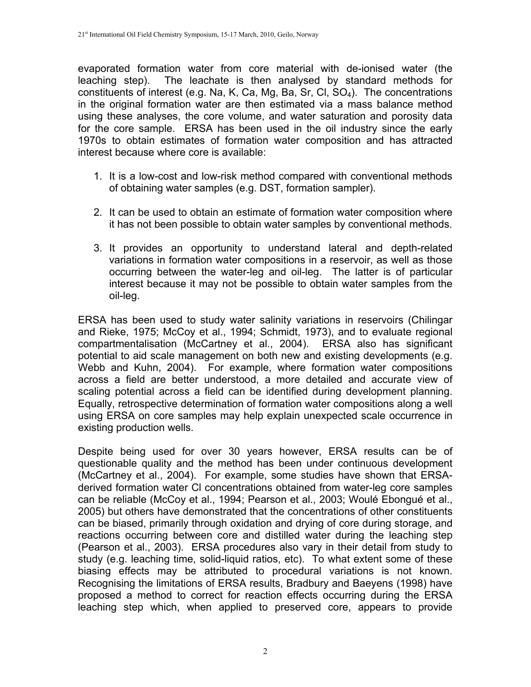evaporated formation water from core material with de-ionised water (the leaching step). The leachate is then analysed by standard methods for constituents of interest (e.g. Na, K, Ca, Mg, Ba, Sr, Cl,  $SO<sub>4</sub>$ ). The concentrations in the original formation water are then estimated via a mass balance method using these analyses, the core volume, and water saturation and porosity data for the core sample. ERSA has been used in the oil industry since the early 1970s to obtain estimates of formation water composition and has attracted interest because where core is available:

- 1. It is a low-cost and low-risk method compared with conventional methods of obtaining water samples (e.g. DST, formation sampler).
- 2. It can be used to obtain an estimate of formation water composition where it has not been possible to obtain water samples by conventional methods.
- 3. It provides an opportunity to understand lateral and depth-related variations in formation water compositions in a reservoir, as well as those occurring between the water-leg and oil-leg. The latter is of particular interest because it may not be possible to obtain water samples from the oil-leg.

ERSA has been used to study water salinity variations in reservoirs (Chilingar and Rieke, 1975; McCoy et al., 1994; Schmidt, 1973), and to evaluate regional compartmentalisation (McCartney et al., 2004). ERSA also has significant potential to aid scale management on both new and existing developments (e.g. Webb and Kuhn, 2004). For example, where formation water compositions across a field are better understood, a more detailed and accurate view of scaling potential across a field can be identified during development planning. Equally, retrospective determination of formation water compositions along a well using ERSA on core samples may help explain unexpected scale occurrence in existing production wells.

Despite being used for over 30 years however, ERSA results can be of questionable quality and the method has been under continuous development (McCartney et al., 2004). For example, some studies have shown that ERSAderived formation water Cl concentrations obtained from water-leg core samples can be reliable (McCoy et al., 1994; Pearson et al., 2003; Woulé Ebongué et al., 2005) but others have demonstrated that the concentrations of other constituents can be biased, primarily through oxidation and drying of core during storage, and reactions occurring between core and distilled water during the leaching step (Pearson et al., 2003). ERSA procedures also vary in their detail from study to study (e.g. leaching time, solid-liquid ratios, etc). To what extent some of these biasing effects may be attributed to procedural variations is not known. Recognising the limitations of ERSA results, Bradbury and Baeyens (1998) have proposed a method to correct for reaction effects occurring during the ERSA leaching step which, when applied to preserved core, appears to provide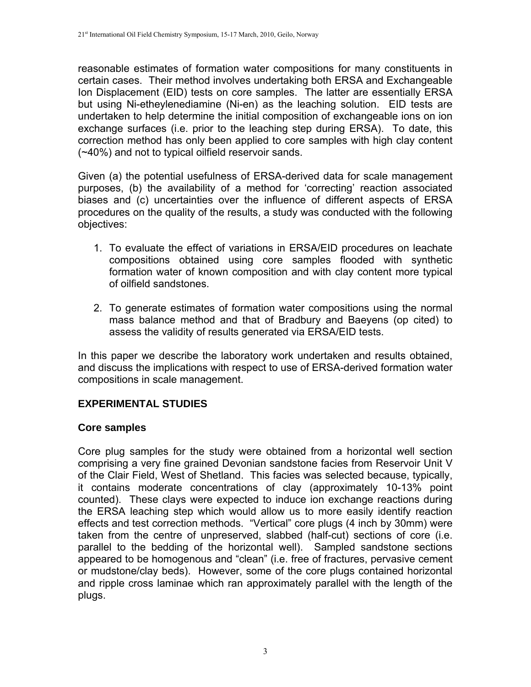reasonable estimates of formation water compositions for many constituents in certain cases. Their method involves undertaking both ERSA and Exchangeable Ion Displacement (EID) tests on core samples. The latter are essentially ERSA but using Ni-etheylenediamine (Ni-en) as the leaching solution. EID tests are undertaken to help determine the initial composition of exchangeable ions on ion exchange surfaces (i.e. prior to the leaching step during ERSA). To date, this correction method has only been applied to core samples with high clay content (~40%) and not to typical oilfield reservoir sands.

Given (a) the potential usefulness of ERSA-derived data for scale management purposes, (b) the availability of a method for 'correcting' reaction associated biases and (c) uncertainties over the influence of different aspects of ERSA procedures on the quality of the results, a study was conducted with the following objectives:

- 1. To evaluate the effect of variations in ERSA/EID procedures on leachate compositions obtained using core samples flooded with synthetic formation water of known composition and with clay content more typical of oilfield sandstones.
- 2. To generate estimates of formation water compositions using the normal mass balance method and that of Bradbury and Baeyens (op cited) to assess the validity of results generated via ERSA/EID tests.

In this paper we describe the laboratory work undertaken and results obtained, and discuss the implications with respect to use of ERSA-derived formation water compositions in scale management.

# **EXPERIMENTAL STUDIES**

#### **Core samples**

Core plug samples for the study were obtained from a horizontal well section comprising a very fine grained Devonian sandstone facies from Reservoir Unit V of the Clair Field, West of Shetland. This facies was selected because, typically, it contains moderate concentrations of clay (approximately 10-13% point counted). These clays were expected to induce ion exchange reactions during the ERSA leaching step which would allow us to more easily identify reaction effects and test correction methods. "Vertical" core plugs (4 inch by 30mm) were taken from the centre of unpreserved, slabbed (half-cut) sections of core (i.e. parallel to the bedding of the horizontal well). Sampled sandstone sections appeared to be homogenous and "clean" (i.e. free of fractures, pervasive cement or mudstone/clay beds). However, some of the core plugs contained horizontal and ripple cross laminae which ran approximately parallel with the length of the plugs.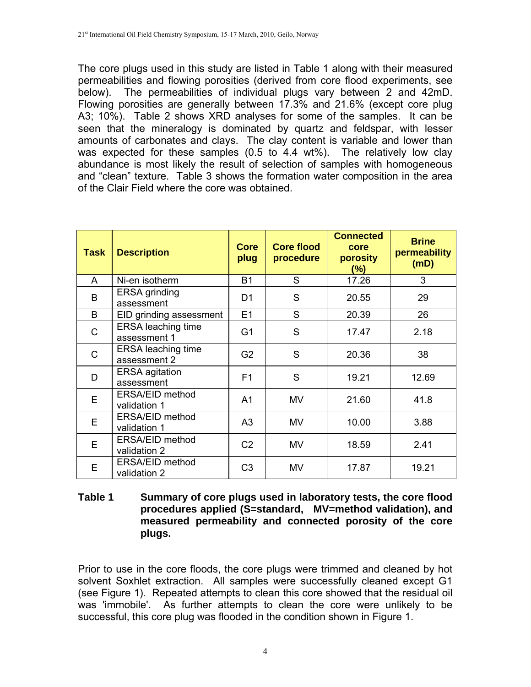The core plugs used in this study are listed in Table 1 along with their measured permeabilities and flowing porosities (derived from core flood experiments, see below). The permeabilities of individual plugs vary between 2 and 42mD. Flowing porosities are generally between 17.3% and 21.6% (except core plug A3; 10%). Table 2 shows XRD analyses for some of the samples. It can be seen that the mineralogy is dominated by quartz and feldspar, with lesser amounts of carbonates and clays. The clay content is variable and lower than was expected for these samples (0.5 to 4.4 wt%). The relatively low clay abundance is most likely the result of selection of samples with homogeneous and "clean" texture. Table 3 shows the formation water composition in the area of the Clair Field where the core was obtained.

| <b>Task</b>  | <b>Description</b>                        | Core<br>plug   | <b>Core flood</b><br>procedure | <b>Connected</b><br>core<br>porosity<br>$(\%)$ | <b>Brine</b><br>permeability<br>(mD) |
|--------------|-------------------------------------------|----------------|--------------------------------|------------------------------------------------|--------------------------------------|
| A            | Ni-en isotherm                            | <b>B1</b>      | S                              | 17.26                                          | 3                                    |
| B            | <b>ERSA</b> grinding<br>assessment        | D1             | S                              | 20.55                                          | 29                                   |
| B            | EID grinding assessment                   | E1             | S                              | 20.39                                          | 26                                   |
| C            | <b>ERSA</b> leaching time<br>assessment 1 | G <sub>1</sub> | S                              | 17.47                                          | 2.18                                 |
| $\mathsf{C}$ | <b>ERSA</b> leaching time<br>assessment 2 | G <sub>2</sub> | S                              | 20.36                                          | 38                                   |
| D            | <b>ERSA</b> agitation<br>assessment       | F <sub>1</sub> | S                              | 19.21                                          | 12.69                                |
| E            | ERSA/EID method<br>validation 1           | A <sub>1</sub> | MV                             | 21.60                                          | 41.8                                 |
| E            | ERSA/EID method<br>validation 1           | A <sub>3</sub> | <b>MV</b>                      | 10.00                                          | 3.88                                 |
| E            | ERSA/EID method<br>validation 2           | C <sub>2</sub> | MV                             | 18.59                                          | 2.41                                 |
| E            | ERSA/EID method<br>validation 2           | C <sub>3</sub> | MV                             | 17.87                                          | 19.21                                |

#### **Table 1 Summary of core plugs used in laboratory tests, the core flood procedures applied (S=standard, MV=method validation), and measured permeability and connected porosity of the core plugs.**

Prior to use in the core floods, the core plugs were trimmed and cleaned by hot solvent Soxhlet extraction. All samples were successfully cleaned except G1 (see Figure 1). Repeated attempts to clean this core showed that the residual oil was 'immobile'. As further attempts to clean the core were unlikely to be successful, this core plug was flooded in the condition shown in Figure 1.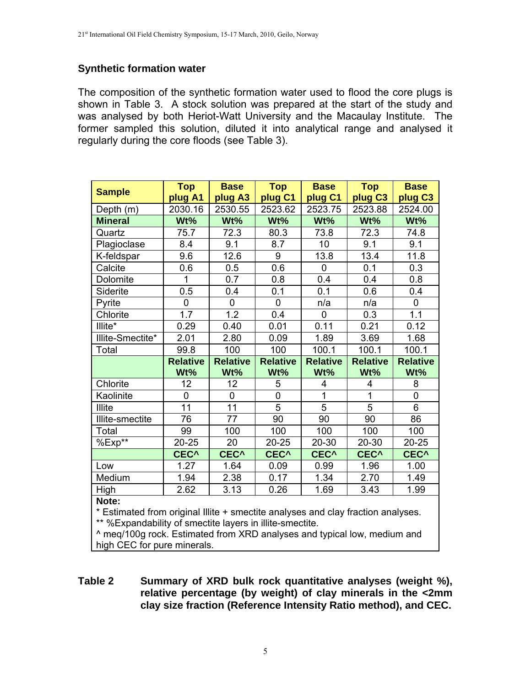# **Synthetic formation water**

The composition of the synthetic formation water used to flood the core plugs is shown in Table 3. A stock solution was prepared at the start of the study and was analysed by both Heriot-Watt University and the Macaulay Institute. The former sampled this solution, diluted it into analytical range and analysed it regularly during the core floods (see Table 3).

|                                                                                  | <b>Top</b>       | <b>Base</b>      | <b>Top</b>       | <b>Base</b>      | <b>Top</b>          | <b>Base</b>         |  |
|----------------------------------------------------------------------------------|------------------|------------------|------------------|------------------|---------------------|---------------------|--|
| <b>Sample</b>                                                                    | plug A1          | plug A3          | plug C1          | plug C1          | plug C <sub>3</sub> | plug C <sub>3</sub> |  |
| Depth (m)                                                                        | 2030.16          | 2530.55          | 2523.62          | 2523.75          | 2523.88             | 2524.00             |  |
| <b>Mineral</b>                                                                   | Wt%              | Wt%              | Wt%              | Wt%              | Wt%                 | Wt%                 |  |
| Quartz                                                                           | 75.7             | 72.3             | 80.3             | 73.8             | 72.3                | 74.8                |  |
| Plagioclase                                                                      | 8.4              | 9.1              | 8.7              | 10               | 9.1                 | 9.1                 |  |
| K-feldspar                                                                       | 9.6              | 12.6             | 9                | 13.8             | 13.4                | 11.8                |  |
| Calcite                                                                          | 0.6              | 0.5              | 0.6              | 0                | 0.1                 | 0.3                 |  |
| Dolomite                                                                         | 1                | 0.7              | 0.8              | 0.4              | 0.4                 | 0.8                 |  |
| Siderite                                                                         | 0.5              | 0.4              | 0.1              | 0.1              | 0.6                 | 0.4                 |  |
| Pyrite                                                                           | 0                | $\mathbf 0$      | 0                | n/a              | n/a                 | 0                   |  |
| Chlorite                                                                         | 1.7              | 1.2              | 0.4              | 0                | 0.3                 | 1.1                 |  |
| Illite*                                                                          | 0.29             | 0.40             | 0.01             | 0.11             | 0.21                | 0.12                |  |
| Illite-Smectite*                                                                 | 2.01             | 2.80             | 0.09             | 1.89             | 3.69                | 1.68                |  |
| Total                                                                            | 99.8             | 100              | 100              | 100.1            | 100.1               | 100.1               |  |
|                                                                                  | <b>Relative</b>  | <b>Relative</b>  | <b>Relative</b>  | <b>Relative</b>  | <b>Relative</b>     | <b>Relative</b>     |  |
|                                                                                  | Wt%              | Wt%              | Wt%              | Wt%              | Wt%                 | Wt%                 |  |
| Chlorite                                                                         | 12               | 12               | 5                | 4                | $\overline{4}$      | 8                   |  |
| Kaolinite                                                                        | 0                | 0                | 0                | 1                | 1                   | $\boldsymbol{0}$    |  |
| <b>Illite</b>                                                                    | 11               | 11               | $\overline{5}$   | $\overline{5}$   | $\overline{5}$      | 6                   |  |
| Illite-smectite                                                                  | 76               | 77               | 90               | 90               | 90                  | 86                  |  |
| Total                                                                            | 99               | 100              | 100              | 100              | 100                 | 100                 |  |
| %Exp**                                                                           | $20 - 25$        | 20               | $20 - 25$        | 20-30            | $20 - 30$           | 20-25               |  |
|                                                                                  | CEC <sup>^</sup> | CEC <sup>^</sup> | CEC <sup>^</sup> | CEC <sup>^</sup> | CEC <sup>^</sup>    | CEC <sup>^</sup>    |  |
| Low                                                                              | 1.27             | 1.64             | 0.09             | 0.99             | 1.96                | 1.00                |  |
| Medium                                                                           | 1.94             | 2.38             | 0.17             | 1.34             | 2.70                | 1.49                |  |
| High                                                                             | 2.62             | 3.13             | 0.26             | 1.69             | 3.43                | 1.99                |  |
| Note:                                                                            |                  |                  |                  |                  |                     |                     |  |
| * Estimated from original Illite + smectite analyses and clay fraction analyses. |                  |                  |                  |                  |                     |                     |  |

\*\* %Expandability of smectite layers in illite-smectite.

^ meq/100g rock. Estimated from XRD analyses and typical low, medium and high CEC for pure minerals.

#### **Table 2 Summary of XRD bulk rock quantitative analyses (weight %), relative percentage (by weight) of clay minerals in the <2mm clay size fraction (Reference Intensity Ratio method), and CEC.**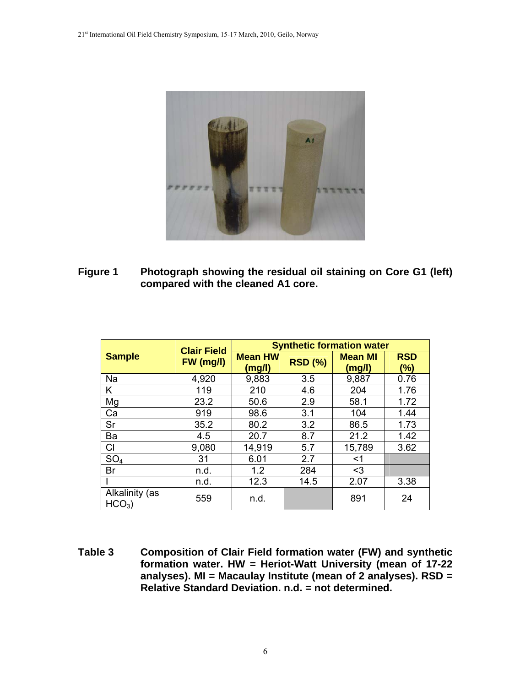

**Figure 1 Photograph showing the residual oil staining on Core G1 (left) compared with the cleaned A1 core.** 

|                            | <b>Clair Field</b> | <b>Synthetic formation water</b> |                |                          |                      |  |  |  |
|----------------------------|--------------------|----------------------------------|----------------|--------------------------|----------------------|--|--|--|
| <b>Sample</b>              | FW (mg/l)          | <b>Mean HW</b><br>(mg/l)         | <b>RSD (%)</b> | <b>Mean MI</b><br>(mg/l) | <b>RSD</b><br>$(\%)$ |  |  |  |
| Na                         | 4,920              | 9,883                            | 3.5            | 9,887                    | 0.76                 |  |  |  |
| Κ                          | 119                | 210                              | 4.6            | 204                      | 1.76                 |  |  |  |
| Mg                         | 23.2               | 50.6                             | 2.9            | 58.1                     | 1.72                 |  |  |  |
| Ca                         | 919                | 98.6                             | 3.1            | 104                      | 1.44                 |  |  |  |
| Sr                         | 35.2               | 80.2                             | 3.2            | 86.5                     | 1.73                 |  |  |  |
| Ba                         | 4.5                | 20.7                             | 8.7            | 21.2                     | 1.42                 |  |  |  |
| CI                         | 9,080              | 14,919                           | 5.7            | 15,789                   | 3.62                 |  |  |  |
| SO <sub>4</sub>            | 31                 | 6.01                             | 2.7            | $<$ 1                    |                      |  |  |  |
| Br                         | n.d.               | 1.2                              | 284            | $3$                      |                      |  |  |  |
|                            | n.d.               | 12.3                             | 14.5           | 2.07                     | 3.38                 |  |  |  |
| Alkalinity (as<br>$HCO3$ ) | 559                | n.d.                             |                | 891                      | 24                   |  |  |  |

**Table 3 Composition of Clair Field formation water (FW) and synthetic formation water. HW = Heriot-Watt University (mean of 17-22 analyses). MI = Macaulay Institute (mean of 2 analyses). RSD = Relative Standard Deviation. n.d. = not determined.**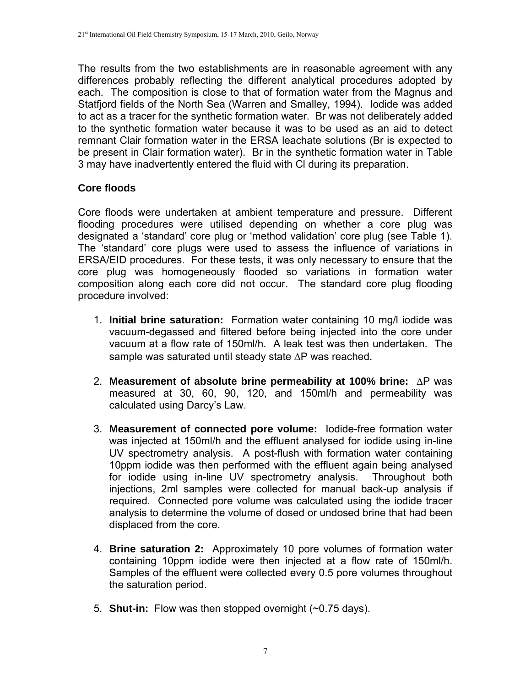The results from the two establishments are in reasonable agreement with any differences probably reflecting the different analytical procedures adopted by each. The composition is close to that of formation water from the Magnus and Statfjord fields of the North Sea (Warren and Smalley, 1994). Iodide was added to act as a tracer for the synthetic formation water. Br was not deliberately added to the synthetic formation water because it was to be used as an aid to detect remnant Clair formation water in the ERSA leachate solutions (Br is expected to be present in Clair formation water). Br in the synthetic formation water in Table 3 may have inadvertently entered the fluid with Cl during its preparation.

# **Core floods**

Core floods were undertaken at ambient temperature and pressure. Different flooding procedures were utilised depending on whether a core plug was designated a 'standard' core plug or 'method validation' core plug (see Table 1). The 'standard' core plugs were used to assess the influence of variations in ERSA/EID procedures. For these tests, it was only necessary to ensure that the core plug was homogeneously flooded so variations in formation water composition along each core did not occur. The standard core plug flooding procedure involved:

- 1. **Initial brine saturation:** Formation water containing 10 mg/l iodide was vacuum-degassed and filtered before being injected into the core under vacuum at a flow rate of 150ml/h. A leak test was then undertaken. The sample was saturated until steady state  $\Delta P$  was reached.
- 2. Measurement of absolute brine permeability at 100% brine: AP was measured at 30, 60, 90, 120, and 150ml/h and permeability was calculated using Darcy's Law.
- 3. **Measurement of connected pore volume:** Iodide-free formation water was injected at 150ml/h and the effluent analysed for iodide using in-line UV spectrometry analysis. A post-flush with formation water containing 10ppm iodide was then performed with the effluent again being analysed for iodide using in-line UV spectrometry analysis. Throughout both injections, 2ml samples were collected for manual back-up analysis if required. Connected pore volume was calculated using the iodide tracer analysis to determine the volume of dosed or undosed brine that had been displaced from the core.
- 4. **Brine saturation 2:** Approximately 10 pore volumes of formation water containing 10ppm iodide were then injected at a flow rate of 150ml/h. Samples of the effluent were collected every 0.5 pore volumes throughout the saturation period.
- 5. **Shut-in:** Flow was then stopped overnight (~0.75 days).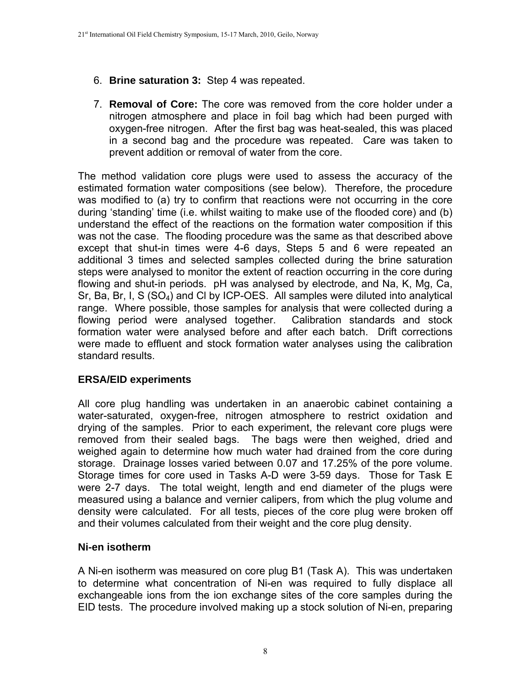- 6. **Brine saturation 3:** Step 4 was repeated.
- 7. **Removal of Core:** The core was removed from the core holder under a nitrogen atmosphere and place in foil bag which had been purged with oxygen-free nitrogen. After the first bag was heat-sealed, this was placed in a second bag and the procedure was repeated. Care was taken to prevent addition or removal of water from the core.

The method validation core plugs were used to assess the accuracy of the estimated formation water compositions (see below). Therefore, the procedure was modified to (a) try to confirm that reactions were not occurring in the core during 'standing' time (i.e. whilst waiting to make use of the flooded core) and (b) understand the effect of the reactions on the formation water composition if this was not the case. The flooding procedure was the same as that described above except that shut-in times were 4-6 days, Steps 5 and 6 were repeated an additional 3 times and selected samples collected during the brine saturation steps were analysed to monitor the extent of reaction occurring in the core during flowing and shut-in periods. pH was analysed by electrode, and Na, K, Mg, Ca, Sr, Ba, Br, I, S (SO4) and Cl by ICP-OES. All samples were diluted into analytical range. Where possible, those samples for analysis that were collected during a flowing period were analysed together. Calibration standards and stock formation water were analysed before and after each batch. Drift corrections were made to effluent and stock formation water analyses using the calibration standard results.

# **ERSA/EID experiments**

All core plug handling was undertaken in an anaerobic cabinet containing a water-saturated, oxygen-free, nitrogen atmosphere to restrict oxidation and drying of the samples. Prior to each experiment, the relevant core plugs were removed from their sealed bags. The bags were then weighed, dried and weighed again to determine how much water had drained from the core during storage. Drainage losses varied between 0.07 and 17.25% of the pore volume. Storage times for core used in Tasks A-D were 3-59 days. Those for Task E were 2-7 days. The total weight, length and end diameter of the plugs were measured using a balance and vernier calipers, from which the plug volume and density were calculated. For all tests, pieces of the core plug were broken off and their volumes calculated from their weight and the core plug density.

# **Ni-en isotherm**

A Ni-en isotherm was measured on core plug B1 (Task A). This was undertaken to determine what concentration of Ni-en was required to fully displace all exchangeable ions from the ion exchange sites of the core samples during the EID tests. The procedure involved making up a stock solution of Ni-en, preparing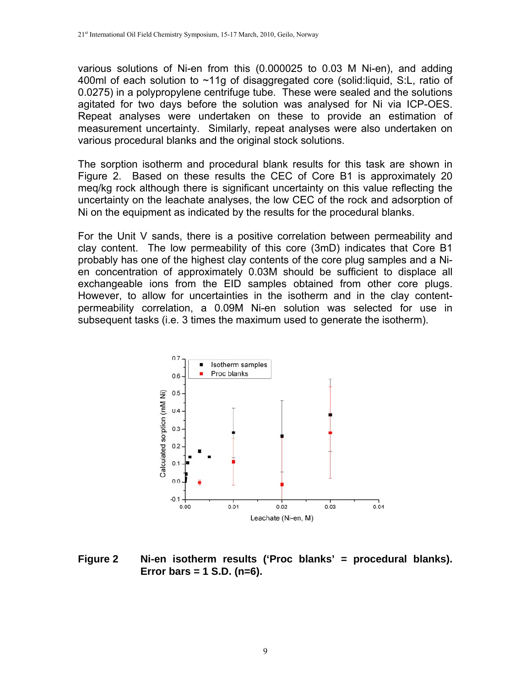various solutions of Ni-en from this (0.000025 to 0.03 M Ni-en), and adding 400ml of each solution to ~11g of disaggregated core (solid:liquid, S:L, ratio of 0.0275) in a polypropylene centrifuge tube. These were sealed and the solutions agitated for two days before the solution was analysed for Ni via ICP-OES. Repeat analyses were undertaken on these to provide an estimation of measurement uncertainty. Similarly, repeat analyses were also undertaken on various procedural blanks and the original stock solutions.

The sorption isotherm and procedural blank results for this task are shown in Figure 2. Based on these results the CEC of Core B1 is approximately 20 meq/kg rock although there is significant uncertainty on this value reflecting the uncertainty on the leachate analyses, the low CEC of the rock and adsorption of Ni on the equipment as indicated by the results for the procedural blanks.

For the Unit V sands, there is a positive correlation between permeability and clay content. The low permeability of this core (3mD) indicates that Core B1 probably has one of the highest clay contents of the core plug samples and a Nien concentration of approximately 0.03M should be sufficient to displace all exchangeable ions from the EID samples obtained from other core plugs. However, to allow for uncertainties in the isotherm and in the clay contentpermeability correlation, a 0.09M Ni-en solution was selected for use in subsequent tasks (i.e. 3 times the maximum used to generate the isotherm).



**Figure 2 Ni-en isotherm results ('Proc blanks' = procedural blanks). Error bars = 1 S.D. (n=6).**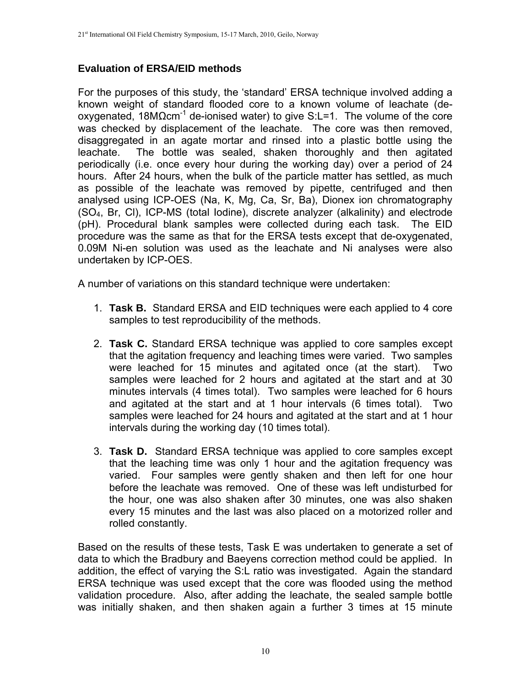# **Evaluation of ERSA/EID methods**

For the purposes of this study, the 'standard' ERSA technique involved adding a known weight of standard flooded core to a known volume of leachate (deoxygenated,  $18MΩcm<sup>-1</sup>$  de-ionised water) to give S:L=1. The volume of the core was checked by displacement of the leachate. The core was then removed, disaggregated in an agate mortar and rinsed into a plastic bottle using the leachate. The bottle was sealed, shaken thoroughly and then agitated periodically (i.e. once every hour during the working day) over a period of 24 hours. After 24 hours, when the bulk of the particle matter has settled, as much as possible of the leachate was removed by pipette, centrifuged and then analysed using ICP-OES (Na, K, Mg, Ca, Sr, Ba), Dionex ion chromatography (SO4, Br, Cl), ICP-MS (total Iodine), discrete analyzer (alkalinity) and electrode (pH). Procedural blank samples were collected during each task. The EID procedure was the same as that for the ERSA tests except that de-oxygenated, 0.09M Ni-en solution was used as the leachate and Ni analyses were also undertaken by ICP-OES.

A number of variations on this standard technique were undertaken:

- 1. **Task B.** Standard ERSA and EID techniques were each applied to 4 core samples to test reproducibility of the methods.
- 2. **Task C.** Standard ERSA technique was applied to core samples except that the agitation frequency and leaching times were varied. Two samples were leached for 15 minutes and agitated once (at the start). Two samples were leached for 2 hours and agitated at the start and at 30 minutes intervals (4 times total). Two samples were leached for 6 hours and agitated at the start and at 1 hour intervals (6 times total). Two samples were leached for 24 hours and agitated at the start and at 1 hour intervals during the working day (10 times total).
- 3. **Task D.** Standard ERSA technique was applied to core samples except that the leaching time was only 1 hour and the agitation frequency was varied. Four samples were gently shaken and then left for one hour before the leachate was removed. One of these was left undisturbed for the hour, one was also shaken after 30 minutes, one was also shaken every 15 minutes and the last was also placed on a motorized roller and rolled constantly.

Based on the results of these tests, Task E was undertaken to generate a set of data to which the Bradbury and Baeyens correction method could be applied. In addition, the effect of varying the S:L ratio was investigated. Again the standard ERSA technique was used except that the core was flooded using the method validation procedure. Also, after adding the leachate, the sealed sample bottle was initially shaken, and then shaken again a further 3 times at 15 minute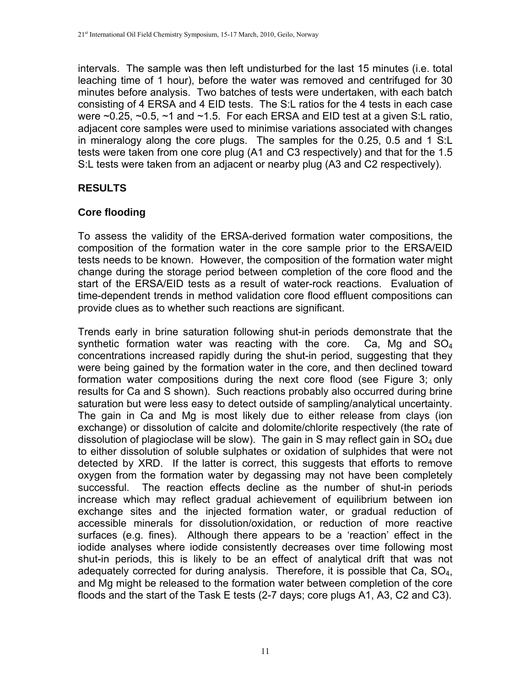intervals. The sample was then left undisturbed for the last 15 minutes (i.e. total leaching time of 1 hour), before the water was removed and centrifuged for 30 minutes before analysis. Two batches of tests were undertaken, with each batch consisting of 4 ERSA and 4 EID tests. The S:L ratios for the 4 tests in each case were  $\sim$ 0.25,  $\sim$ 0.5,  $\sim$ 1 and  $\sim$ 1.5. For each ERSA and EID test at a given S:L ratio, adjacent core samples were used to minimise variations associated with changes in mineralogy along the core plugs. The samples for the 0.25, 0.5 and 1 S:L tests were taken from one core plug (A1 and C3 respectively) and that for the 1.5 S:L tests were taken from an adjacent or nearby plug (A3 and C2 respectively).

# **RESULTS**

# **Core flooding**

To assess the validity of the ERSA-derived formation water compositions, the composition of the formation water in the core sample prior to the ERSA/EID tests needs to be known. However, the composition of the formation water might change during the storage period between completion of the core flood and the start of the ERSA/EID tests as a result of water-rock reactions. Evaluation of time-dependent trends in method validation core flood effluent compositions can provide clues as to whether such reactions are significant.

Trends early in brine saturation following shut-in periods demonstrate that the synthetic formation water was reacting with the core. Ca, Mg and  $SO_4$ concentrations increased rapidly during the shut-in period, suggesting that they were being gained by the formation water in the core, and then declined toward formation water compositions during the next core flood (see Figure 3; only results for Ca and S shown). Such reactions probably also occurred during brine saturation but were less easy to detect outside of sampling/analytical uncertainty. The gain in Ca and Mg is most likely due to either release from clays (ion exchange) or dissolution of calcite and dolomite/chlorite respectively (the rate of dissolution of plagioclase will be slow). The gain in S may reflect gain in  $SO<sub>4</sub>$  due to either dissolution of soluble sulphates or oxidation of sulphides that were not detected by XRD. If the latter is correct, this suggests that efforts to remove oxygen from the formation water by degassing may not have been completely successful. The reaction effects decline as the number of shut-in periods increase which may reflect gradual achievement of equilibrium between ion exchange sites and the injected formation water, or gradual reduction of accessible minerals for dissolution/oxidation, or reduction of more reactive surfaces (e.g. fines). Although there appears to be a 'reaction' effect in the iodide analyses where iodide consistently decreases over time following most shut-in periods, this is likely to be an effect of analytical drift that was not adequately corrected for during analysis. Therefore, it is possible that Ca, SO4, and Mg might be released to the formation water between completion of the core floods and the start of the Task E tests (2-7 days; core plugs A1, A3, C2 and C3).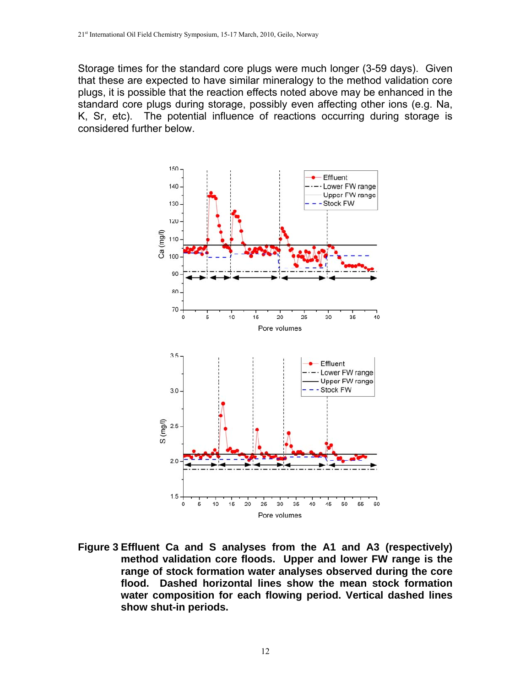Storage times for the standard core plugs were much longer (3-59 days). Given that these are expected to have similar mineralogy to the method validation core plugs, it is possible that the reaction effects noted above may be enhanced in the standard core plugs during storage, possibly even affecting other ions (e.g. Na, K, Sr, etc). The potential influence of reactions occurring during storage is considered further below.



**Figure 3 Effluent Ca and S analyses from the A1 and A3 (respectively) method validation core floods. Upper and lower FW range is the range of stock formation water analyses observed during the core flood. Dashed horizontal lines show the mean stock formation water composition for each flowing period. Vertical dashed lines show shut-in periods.**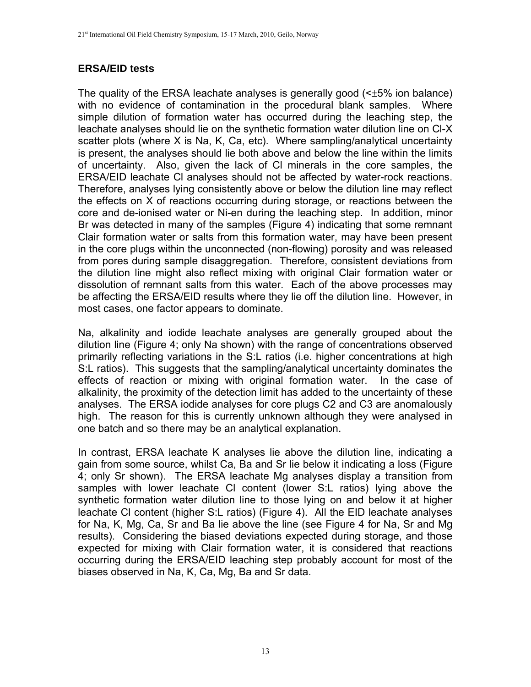### **ERSA/EID tests**

The quality of the ERSA leachate analyses is generally good  $\leq t$ 5% ion balance) with no evidence of contamination in the procedural blank samples. Where simple dilution of formation water has occurred during the leaching step, the leachate analyses should lie on the synthetic formation water dilution line on Cl-X scatter plots (where X is Na, K, Ca, etc). Where sampling/analytical uncertainty is present, the analyses should lie both above and below the line within the limits of uncertainty. Also, given the lack of Cl minerals in the core samples, the ERSA/EID leachate Cl analyses should not be affected by water-rock reactions. Therefore, analyses lying consistently above or below the dilution line may reflect the effects on X of reactions occurring during storage, or reactions between the core and de-ionised water or Ni-en during the leaching step. In addition, minor Br was detected in many of the samples (Figure 4) indicating that some remnant Clair formation water or salts from this formation water, may have been present in the core plugs within the unconnected (non-flowing) porosity and was released from pores during sample disaggregation. Therefore, consistent deviations from the dilution line might also reflect mixing with original Clair formation water or dissolution of remnant salts from this water. Each of the above processes may be affecting the ERSA/EID results where they lie off the dilution line. However, in most cases, one factor appears to dominate.

Na, alkalinity and iodide leachate analyses are generally grouped about the dilution line (Figure 4; only Na shown) with the range of concentrations observed primarily reflecting variations in the S:L ratios (i.e. higher concentrations at high S:L ratios). This suggests that the sampling/analytical uncertainty dominates the effects of reaction or mixing with original formation water. In the case of alkalinity, the proximity of the detection limit has added to the uncertainty of these analyses. The ERSA iodide analyses for core plugs C2 and C3 are anomalously high. The reason for this is currently unknown although they were analysed in one batch and so there may be an analytical explanation.

In contrast, ERSA leachate K analyses lie above the dilution line, indicating a gain from some source, whilst Ca, Ba and Sr lie below it indicating a loss (Figure 4; only Sr shown). The ERSA leachate Mg analyses display a transition from samples with lower leachate Cl content (lower S:L ratios) lying above the synthetic formation water dilution line to those lying on and below it at higher leachate Cl content (higher S:L ratios) (Figure 4). All the EID leachate analyses for Na, K, Mg, Ca, Sr and Ba lie above the line (see Figure 4 for Na, Sr and Mg results). Considering the biased deviations expected during storage, and those expected for mixing with Clair formation water, it is considered that reactions occurring during the ERSA/EID leaching step probably account for most of the biases observed in Na, K, Ca, Mg, Ba and Sr data.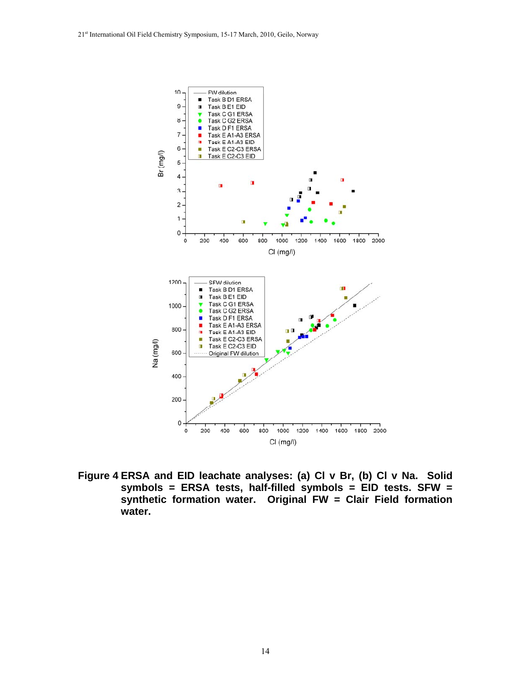

**Figure 4 ERSA and EID leachate analyses: (a) Cl v Br, (b) Cl v Na. Solid symbols = ERSA tests, half-filled symbols = EID tests. SFW = synthetic formation water. Original FW = Clair Field formation water.**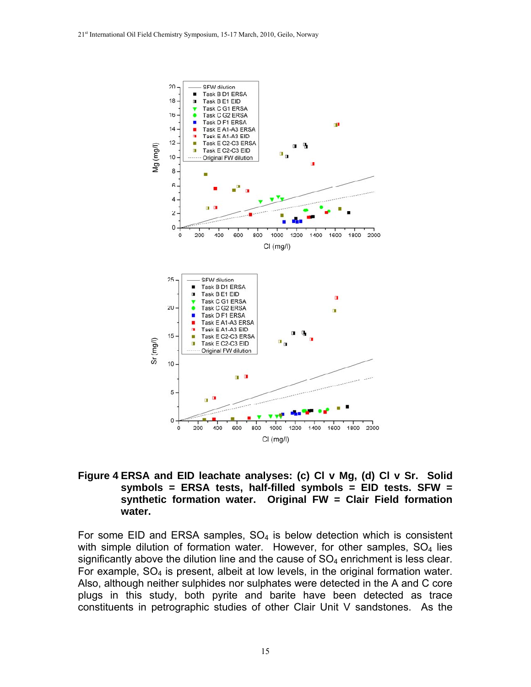

#### **Figure 4 ERSA and EID leachate analyses: (c) Cl v Mg, (d) Cl v Sr. Solid symbols = ERSA tests, half-filled symbols = EID tests. SFW = synthetic formation water. Original FW = Clair Field formation water.**

For some EID and ERSA samples,  $SO<sub>4</sub>$  is below detection which is consistent with simple dilution of formation water. However, for other samples,  $SO<sub>4</sub>$  lies significantly above the dilution line and the cause of  $SO<sub>4</sub>$  enrichment is less clear. For example,  $SO<sub>4</sub>$  is present, albeit at low levels, in the original formation water. Also, although neither sulphides nor sulphates were detected in the A and C core plugs in this study, both pyrite and barite have been detected as trace constituents in petrographic studies of other Clair Unit V sandstones. As the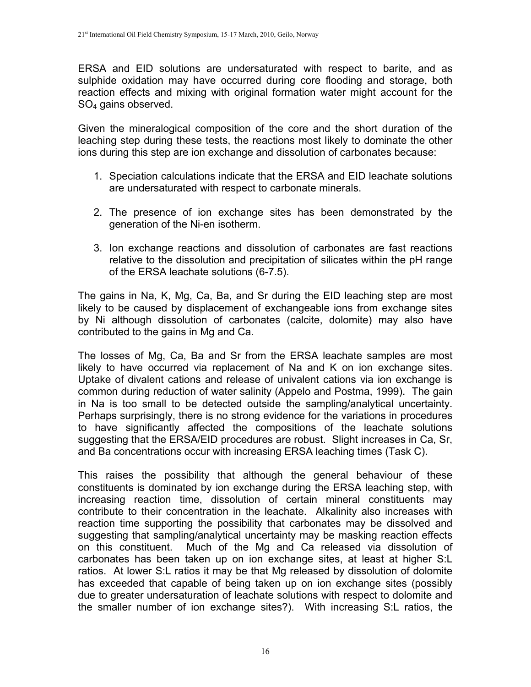ERSA and EID solutions are undersaturated with respect to barite, and as sulphide oxidation may have occurred during core flooding and storage, both reaction effects and mixing with original formation water might account for the SO4 gains observed.

Given the mineralogical composition of the core and the short duration of the leaching step during these tests, the reactions most likely to dominate the other ions during this step are ion exchange and dissolution of carbonates because:

- 1. Speciation calculations indicate that the ERSA and EID leachate solutions are undersaturated with respect to carbonate minerals.
- 2. The presence of ion exchange sites has been demonstrated by the generation of the Ni-en isotherm.
- 3. Ion exchange reactions and dissolution of carbonates are fast reactions relative to the dissolution and precipitation of silicates within the pH range of the ERSA leachate solutions (6-7.5).

The gains in Na, K, Mg, Ca, Ba, and Sr during the EID leaching step are most likely to be caused by displacement of exchangeable ions from exchange sites by Ni although dissolution of carbonates (calcite, dolomite) may also have contributed to the gains in Mg and Ca.

The losses of Mg, Ca, Ba and Sr from the ERSA leachate samples are most likely to have occurred via replacement of Na and K on ion exchange sites. Uptake of divalent cations and release of univalent cations via ion exchange is common during reduction of water salinity (Appelo and Postma, 1999). The gain in Na is too small to be detected outside the sampling/analytical uncertainty. Perhaps surprisingly, there is no strong evidence for the variations in procedures to have significantly affected the compositions of the leachate solutions suggesting that the ERSA/EID procedures are robust. Slight increases in Ca, Sr, and Ba concentrations occur with increasing ERSA leaching times (Task C).

This raises the possibility that although the general behaviour of these constituents is dominated by ion exchange during the ERSA leaching step, with increasing reaction time, dissolution of certain mineral constituents may contribute to their concentration in the leachate. Alkalinity also increases with reaction time supporting the possibility that carbonates may be dissolved and suggesting that sampling/analytical uncertainty may be masking reaction effects on this constituent. Much of the Mg and Ca released via dissolution of carbonates has been taken up on ion exchange sites, at least at higher S:L ratios. At lower S:L ratios it may be that Mg released by dissolution of dolomite has exceeded that capable of being taken up on ion exchange sites (possibly due to greater undersaturation of leachate solutions with respect to dolomite and the smaller number of ion exchange sites?). With increasing S:L ratios, the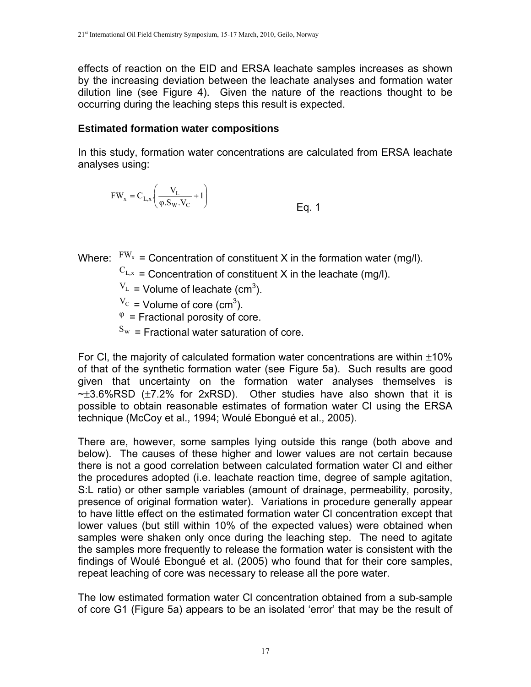effects of reaction on the EID and ERSA leachate samples increases as shown by the increasing deviation between the leachate analyses and formation water dilution line (see Figure 4). Given the nature of the reactions thought to be occurring during the leaching steps this result is expected.

#### **Estimated formation water compositions**

In this study, formation water concentrations are calculated from ERSA leachate analyses using:

$$
FW_x = C_{L,x} \left( \frac{V_L}{\varphi . S_W . V_C} + 1 \right)
$$
 Eq. 1

Where:  $FW_x =$  Concentration of constituent X in the formation water (mg/l).

 $C_{L,x}$  = Concentration of constituent X in the leachate (mg/l).

 $V_{\text{L}}$  = Volume of leachate (cm<sup>3</sup>).

 $V_{\text{C}}$  = Volume of core (cm<sup>3</sup>).

 $\varphi$  = Fractional porosity of core.

 $S_W$  = Fractional water saturation of core.

For CI, the majority of calculated formation water concentrations are within  $\pm 10\%$ of that of the synthetic formation water (see Figure 5a). Such results are good given that uncertainty on the formation water analyses themselves is  $\sim \pm 3.6\%$ RSD ( $\pm 7.2\%$  for 2xRSD). Other studies have also shown that it is possible to obtain reasonable estimates of formation water Cl using the ERSA technique (McCoy et al., 1994; Woulé Ebongué et al., 2005).

There are, however, some samples lying outside this range (both above and below). The causes of these higher and lower values are not certain because there is not a good correlation between calculated formation water Cl and either the procedures adopted (i.e. leachate reaction time, degree of sample agitation, S:L ratio) or other sample variables (amount of drainage, permeability, porosity, presence of original formation water). Variations in procedure generally appear to have little effect on the estimated formation water Cl concentration except that lower values (but still within 10% of the expected values) were obtained when samples were shaken only once during the leaching step. The need to agitate the samples more frequently to release the formation water is consistent with the findings of Woulé Ebongué et al. (2005) who found that for their core samples, repeat leaching of core was necessary to release all the pore water.

The low estimated formation water Cl concentration obtained from a sub-sample of core G1 (Figure 5a) appears to be an isolated 'error' that may be the result of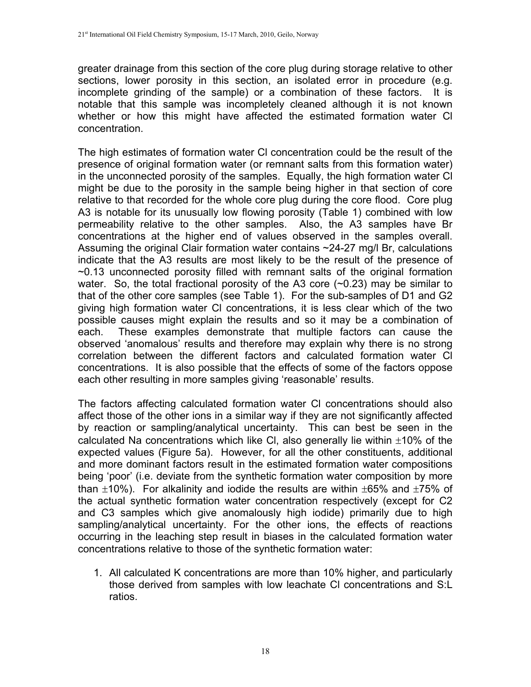greater drainage from this section of the core plug during storage relative to other sections, lower porosity in this section, an isolated error in procedure (e.g. incomplete grinding of the sample) or a combination of these factors. It is notable that this sample was incompletely cleaned although it is not known whether or how this might have affected the estimated formation water Cl concentration.

The high estimates of formation water Cl concentration could be the result of the presence of original formation water (or remnant salts from this formation water) in the unconnected porosity of the samples. Equally, the high formation water Cl might be due to the porosity in the sample being higher in that section of core relative to that recorded for the whole core plug during the core flood. Core plug A3 is notable for its unusually low flowing porosity (Table 1) combined with low permeability relative to the other samples. Also, the A3 samples have Br concentrations at the higher end of values observed in the samples overall. Assuming the original Clair formation water contains ~24-27 mg/l Br, calculations indicate that the A3 results are most likely to be the result of the presence of ~0.13 unconnected porosity filled with remnant salts of the original formation water. So, the total fractional porosity of the A3 core (~0.23) may be similar to that of the other core samples (see Table 1). For the sub-samples of D1 and G2 giving high formation water Cl concentrations, it is less clear which of the two possible causes might explain the results and so it may be a combination of each. These examples demonstrate that multiple factors can cause the observed 'anomalous' results and therefore may explain why there is no strong correlation between the different factors and calculated formation water Cl concentrations. It is also possible that the effects of some of the factors oppose each other resulting in more samples giving 'reasonable' results.

The factors affecting calculated formation water Cl concentrations should also affect those of the other ions in a similar way if they are not significantly affected by reaction or sampling/analytical uncertainty. This can best be seen in the calculated Na concentrations which like CI, also generally lie within  $\pm 10\%$  of the expected values (Figure 5a). However, for all the other constituents, additional and more dominant factors result in the estimated formation water compositions being 'poor' (i.e. deviate from the synthetic formation water composition by more than  $\pm$ 10%). For alkalinity and iodide the results are within  $\pm$ 65% and  $\pm$ 75% of the actual synthetic formation water concentration respectively (except for C2 and C3 samples which give anomalously high iodide) primarily due to high sampling/analytical uncertainty. For the other ions, the effects of reactions occurring in the leaching step result in biases in the calculated formation water concentrations relative to those of the synthetic formation water:

1. All calculated K concentrations are more than 10% higher, and particularly those derived from samples with low leachate Cl concentrations and S:L ratios.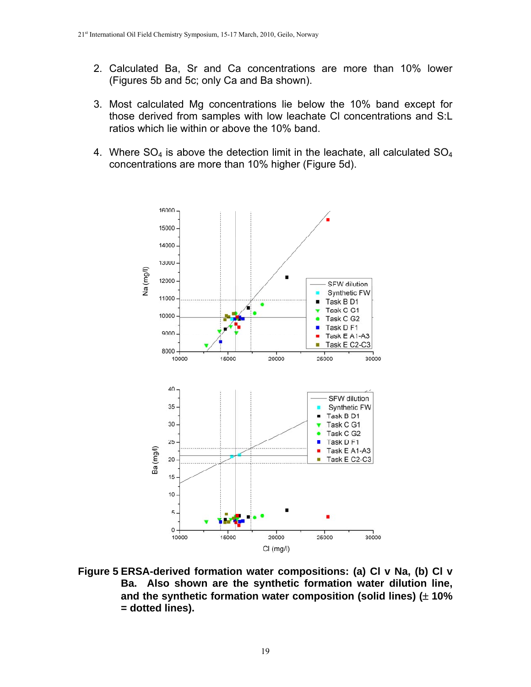- 2. Calculated Ba, Sr and Ca concentrations are more than 10% lower (Figures 5b and 5c; only Ca and Ba shown).
- 3. Most calculated Mg concentrations lie below the 10% band except for those derived from samples with low leachate Cl concentrations and S:L ratios which lie within or above the 10% band.
- 4. Where  $SO_4$  is above the detection limit in the leachate, all calculated  $SO_4$ concentrations are more than 10% higher (Figure 5d).



**Figure 5 ERSA-derived formation water compositions: (a) Cl v Na, (b) Cl v Ba. Also shown are the synthetic formation water dilution line, and the synthetic formation water composition (solid lines) ( 10% = dotted lines).**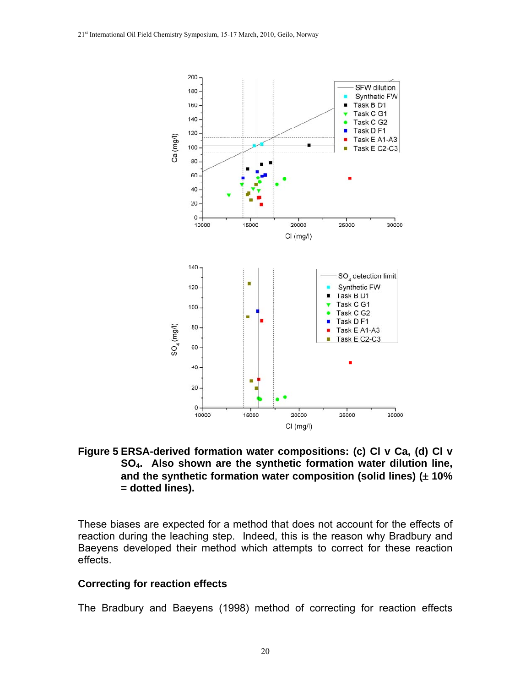

**Figure 5 ERSA-derived formation water compositions: (c) Cl v Ca, (d) Cl v SO4. Also shown are the synthetic formation water dilution line, and the synthetic formation water composition (solid lines) ( 10% = dotted lines).** 

These biases are expected for a method that does not account for the effects of reaction during the leaching step. Indeed, this is the reason why Bradbury and Baeyens developed their method which attempts to correct for these reaction effects.

#### **Correcting for reaction effects**

The Bradbury and Baeyens (1998) method of correcting for reaction effects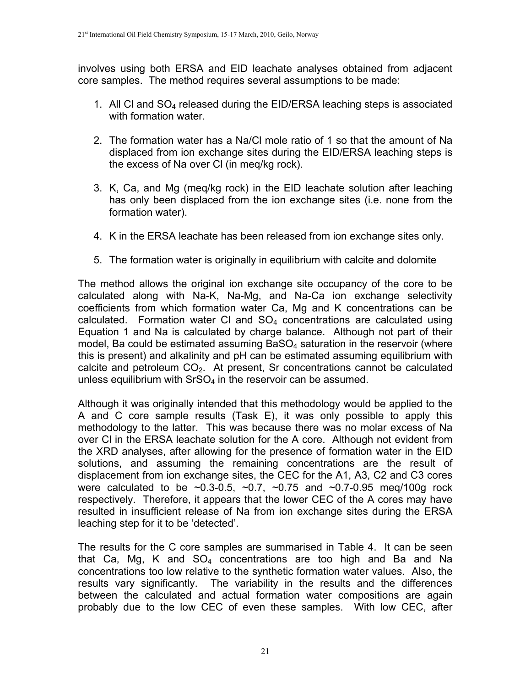involves using both ERSA and EID leachate analyses obtained from adjacent core samples. The method requires several assumptions to be made:

- 1. All Cl and SO4 released during the EID/ERSA leaching steps is associated with formation water
- 2. The formation water has a Na/Cl mole ratio of 1 so that the amount of Na displaced from ion exchange sites during the EID/ERSA leaching steps is the excess of Na over Cl (in meq/kg rock).
- 3. K, Ca, and Mg (meq/kg rock) in the EID leachate solution after leaching has only been displaced from the ion exchange sites (i.e. none from the formation water).
- 4. K in the ERSA leachate has been released from ion exchange sites only.
- 5. The formation water is originally in equilibrium with calcite and dolomite

The method allows the original ion exchange site occupancy of the core to be calculated along with Na-K, Na-Mg, and Na-Ca ion exchange selectivity coefficients from which formation water Ca, Mg and K concentrations can be calculated. Formation water Cl and SO4 concentrations are calculated using Equation 1 and Na is calculated by charge balance. Although not part of their model, Ba could be estimated assuming  $BaSO<sub>4</sub>$  saturation in the reservoir (where this is present) and alkalinity and pH can be estimated assuming equilibrium with calcite and petroleum  $CO<sub>2</sub>$ . At present, Sr concentrations cannot be calculated unless equilibrium with  $SrSO<sub>4</sub>$  in the reservoir can be assumed.

Although it was originally intended that this methodology would be applied to the A and C core sample results (Task E), it was only possible to apply this methodology to the latter. This was because there was no molar excess of Na over Cl in the ERSA leachate solution for the A core. Although not evident from the XRD analyses, after allowing for the presence of formation water in the EID solutions, and assuming the remaining concentrations are the result of displacement from ion exchange sites, the CEC for the A1, A3, C2 and C3 cores were calculated to be  $\sim 0.3 - 0.5$ ,  $\sim 0.7$ ,  $\sim 0.75$  and  $\sim 0.7 - 0.95$  meg/100g rock respectively. Therefore, it appears that the lower CEC of the A cores may have resulted in insufficient release of Na from ion exchange sites during the ERSA leaching step for it to be 'detected'.

The results for the C core samples are summarised in Table 4. It can be seen that Ca, Mg, K and  $SO_4$  concentrations are too high and Ba and Na concentrations too low relative to the synthetic formation water values. Also, the results vary significantly. The variability in the results and the differences between the calculated and actual formation water compositions are again probably due to the low CEC of even these samples. With low CEC, after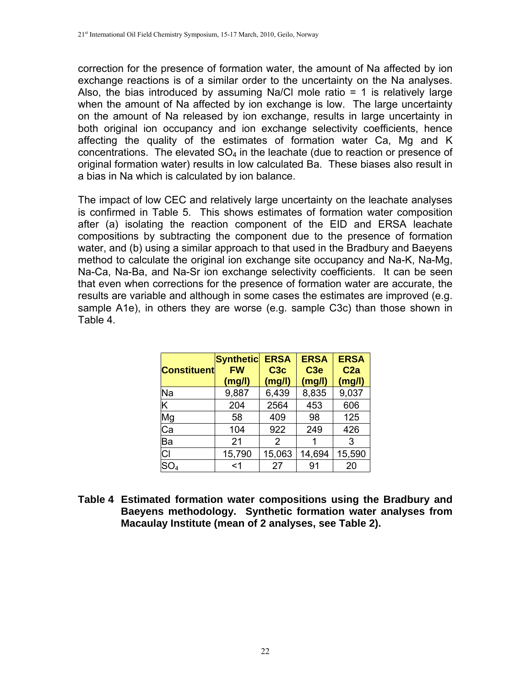correction for the presence of formation water, the amount of Na affected by ion exchange reactions is of a similar order to the uncertainty on the Na analyses. Also, the bias introduced by assuming Na/Cl mole ratio  $= 1$  is relatively large when the amount of Na affected by ion exchange is low. The large uncertainty on the amount of Na released by ion exchange, results in large uncertainty in both original ion occupancy and ion exchange selectivity coefficients, hence affecting the quality of the estimates of formation water Ca, Mg and K concentrations. The elevated  $SO<sub>4</sub>$  in the leachate (due to reaction or presence of original formation water) results in low calculated Ba. These biases also result in a bias in Na which is calculated by ion balance.

The impact of low CEC and relatively large uncertainty on the leachate analyses is confirmed in Table 5. This shows estimates of formation water composition after (a) isolating the reaction component of the EID and ERSA leachate compositions by subtracting the component due to the presence of formation water, and (b) using a similar approach to that used in the Bradbury and Baeyens method to calculate the original ion exchange site occupancy and Na-K, Na-Mg, Na-Ca, Na-Ba, and Na-Sr ion exchange selectivity coefficients. It can be seen that even when corrections for the presence of formation water are accurate, the results are variable and although in some cases the estimates are improved (e.g. sample A1e), in others they are worse (e.g. sample C3c) than those shown in Table 4.

| <b>Constituent</b> | <b>Synthetic</b><br><b>FW</b><br>(mg/l) | <b>ERSA</b><br>C <sub>3</sub> c<br>(mg/l) | <b>ERSA</b><br>C <sub>3e</sub><br>(mg/l) | <b>ERSA</b><br>C <sub>2a</sub><br>(mg/l) |
|--------------------|-----------------------------------------|-------------------------------------------|------------------------------------------|------------------------------------------|
| Na                 | 9,887                                   | 6,439                                     | 8,835                                    | 9,037                                    |
| Κ                  | 204                                     | 2564                                      | 453                                      | 606                                      |
| Mg                 | 58                                      | 409                                       | 98                                       | 125                                      |
| Ca                 | 104                                     | 922                                       | 249                                      | 426                                      |
| Ba                 | 21                                      | 2                                         |                                          | 3                                        |
| CI                 | 15,790                                  | 15,063                                    | 14,694                                   | 15,590                                   |
| SO <sub>4</sub>    | $<$ 1                                   | 27                                        | 91                                       | 20                                       |

**Table 4 Estimated formation water compositions using the Bradbury and Baeyens methodology. Synthetic formation water analyses from Macaulay Institute (mean of 2 analyses, see Table 2).**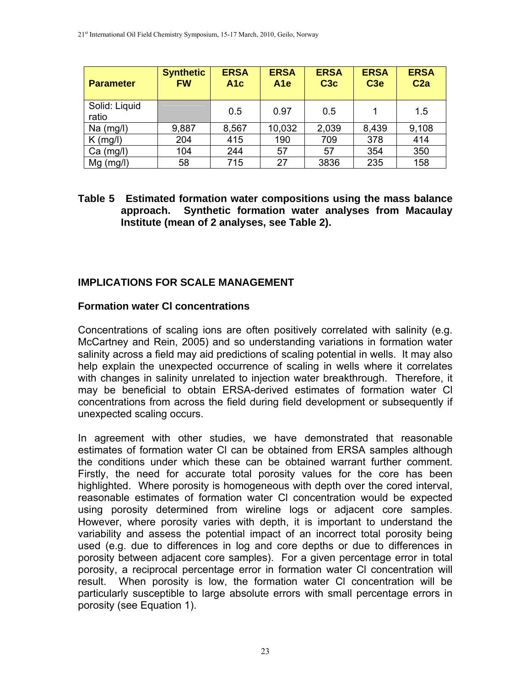| <b>Parameter</b>       | <b>Synthetic</b><br><b>FW</b> | <b>ERSA</b><br>A <sub>1c</sub> | <b>ERSA</b><br>A <sub>1e</sub> | <b>ERSA</b><br>C <sub>3</sub> c | <b>ERSA</b><br>C <sub>3e</sub> | <b>ERSA</b><br>C <sub>2a</sub> |
|------------------------|-------------------------------|--------------------------------|--------------------------------|---------------------------------|--------------------------------|--------------------------------|
| Solid: Liquid<br>ratio |                               | 0.5                            | 0.97                           | 0.5                             |                                | 1.5                            |
| $Na$ (mg/l)            | 9,887                         | 8,567                          | 10,032                         | 2,039                           | 8,439                          | 9,108                          |
| $K$ (mg/l)             | 204                           | 415                            | 190                            | 709                             | 378                            | 414                            |
| $Ca$ (mg/l)            | 104                           | 244                            | 57                             | 57                              | 354                            | 350                            |
| $Mg$ (mg/l)            | 58                            | 715                            | 27                             | 3836                            | 235                            | 158                            |

#### **Table 5 Estimated formation water compositions using the mass balance approach. Synthetic formation water analyses from Macaulay Institute (mean of 2 analyses, see Table 2).**

# **IMPLICATIONS FOR SCALE MANAGEMENT**

#### **Formation water Cl concentrations**

Concentrations of scaling ions are often positively correlated with salinity (e.g. McCartney and Rein, 2005) and so understanding variations in formation water salinity across a field may aid predictions of scaling potential in wells. It may also help explain the unexpected occurrence of scaling in wells where it correlates with changes in salinity unrelated to injection water breakthrough. Therefore, it may be beneficial to obtain ERSA-derived estimates of formation water Cl concentrations from across the field during field development or subsequently if unexpected scaling occurs.

In agreement with other studies, we have demonstrated that reasonable estimates of formation water Cl can be obtained from ERSA samples although the conditions under which these can be obtained warrant further comment. Firstly, the need for accurate total porosity values for the core has been highlighted. Where porosity is homogeneous with depth over the cored interval, reasonable estimates of formation water Cl concentration would be expected using porosity determined from wireline logs or adjacent core samples. However, where porosity varies with depth, it is important to understand the variability and assess the potential impact of an incorrect total porosity being used (e.g. due to differences in log and core depths or due to differences in porosity between adjacent core samples). For a given percentage error in total porosity, a reciprocal percentage error in formation water Cl concentration will result. When porosity is low, the formation water Cl concentration will be particularly susceptible to large absolute errors with small percentage errors in porosity (see Equation 1).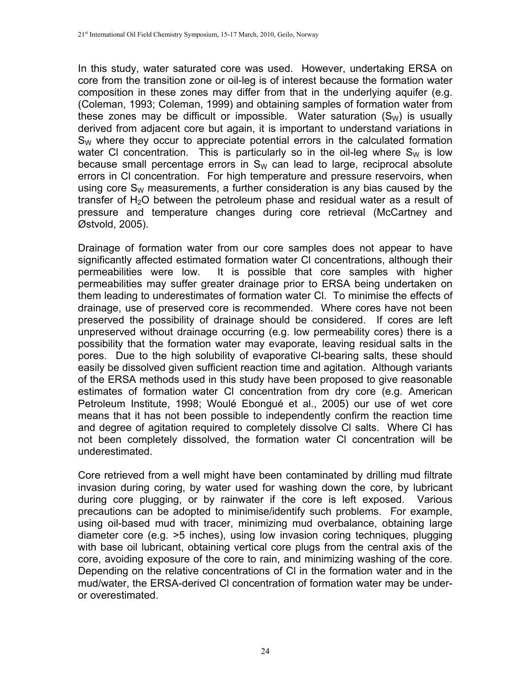In this study, water saturated core was used. However, undertaking ERSA on core from the transition zone or oil-leg is of interest because the formation water composition in these zones may differ from that in the underlying aquifer (e.g. (Coleman, 1993; Coleman, 1999) and obtaining samples of formation water from these zones may be difficult or impossible. Water saturation  $(S_w)$  is usually derived from adjacent core but again, it is important to understand variations in  $S_W$  where they occur to appreciate potential errors in the calculated formation water CI concentration. This is particularly so in the oil-leg where  $S_W$  is low because small percentage errors in  $S_W$  can lead to large, reciprocal absolute errors in Cl concentration. For high temperature and pressure reservoirs, when using core  $S_W$  measurements, a further consideration is any bias caused by the transfer of  $H_2O$  between the petroleum phase and residual water as a result of pressure and temperature changes during core retrieval (McCartney and Østvold, 2005).

Drainage of formation water from our core samples does not appear to have significantly affected estimated formation water Cl concentrations, although their permeabilities were low. It is possible that core samples with higher permeabilities may suffer greater drainage prior to ERSA being undertaken on them leading to underestimates of formation water Cl. To minimise the effects of drainage, use of preserved core is recommended. Where cores have not been preserved the possibility of drainage should be considered. If cores are left unpreserved without drainage occurring (e.g. low permeability cores) there is a possibility that the formation water may evaporate, leaving residual salts in the pores. Due to the high solubility of evaporative Cl-bearing salts, these should easily be dissolved given sufficient reaction time and agitation. Although variants of the ERSA methods used in this study have been proposed to give reasonable estimates of formation water Cl concentration from dry core (e.g. American Petroleum Institute, 1998; Woulé Ebongué et al., 2005) our use of wet core means that it has not been possible to independently confirm the reaction time and degree of agitation required to completely dissolve Cl salts. Where Cl has not been completely dissolved, the formation water Cl concentration will be underestimated.

Core retrieved from a well might have been contaminated by drilling mud filtrate invasion during coring, by water used for washing down the core, by lubricant during core plugging, or by rainwater if the core is left exposed. Various precautions can be adopted to minimise/identify such problems. For example, using oil-based mud with tracer, minimizing mud overbalance, obtaining large diameter core (e.g. >5 inches), using low invasion coring techniques, plugging with base oil lubricant, obtaining vertical core plugs from the central axis of the core, avoiding exposure of the core to rain, and minimizing washing of the core. Depending on the relative concentrations of Cl in the formation water and in the mud/water, the ERSA-derived Cl concentration of formation water may be underor overestimated.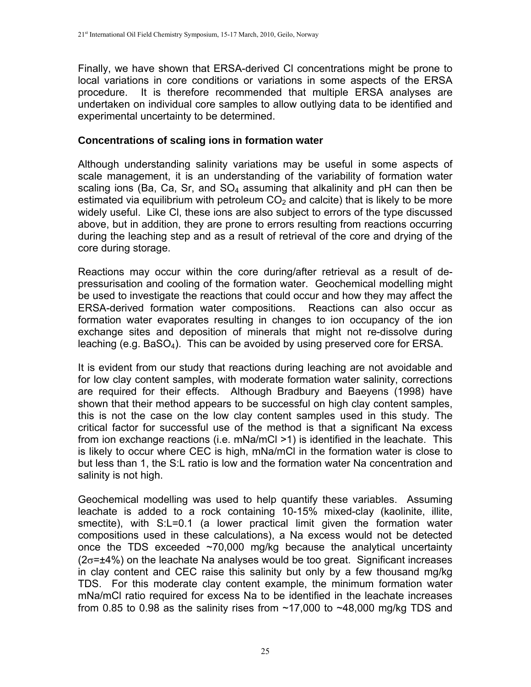Finally, we have shown that ERSA-derived Cl concentrations might be prone to local variations in core conditions or variations in some aspects of the ERSA procedure. It is therefore recommended that multiple ERSA analyses are undertaken on individual core samples to allow outlying data to be identified and experimental uncertainty to be determined.

# **Concentrations of scaling ions in formation water**

Although understanding salinity variations may be useful in some aspects of scale management, it is an understanding of the variability of formation water scaling ions (Ba, Ca, Sr, and  $SO_4$  assuming that alkalinity and pH can then be estimated via equilibrium with petroleum  $CO<sub>2</sub>$  and calcite) that is likely to be more widely useful. Like Cl, these ions are also subject to errors of the type discussed above, but in addition, they are prone to errors resulting from reactions occurring during the leaching step and as a result of retrieval of the core and drying of the core during storage.

Reactions may occur within the core during/after retrieval as a result of depressurisation and cooling of the formation water. Geochemical modelling might be used to investigate the reactions that could occur and how they may affect the ERSA-derived formation water compositions. Reactions can also occur as formation water evaporates resulting in changes to ion occupancy of the ion exchange sites and deposition of minerals that might not re-dissolve during leaching (e.g. BaSO4). This can be avoided by using preserved core for ERSA.

It is evident from our study that reactions during leaching are not avoidable and for low clay content samples, with moderate formation water salinity, corrections are required for their effects. Although Bradbury and Baeyens (1998) have shown that their method appears to be successful on high clay content samples, this is not the case on the low clay content samples used in this study. The critical factor for successful use of the method is that a significant Na excess from ion exchange reactions (i.e. mNa/mCl >1) is identified in the leachate. This is likely to occur where CEC is high, mNa/mCl in the formation water is close to but less than 1, the S:L ratio is low and the formation water Na concentration and salinity is not high.

Geochemical modelling was used to help quantify these variables. Assuming leachate is added to a rock containing 10-15% mixed-clay (kaolinite, illite, smectite), with S:L=0.1 (a lower practical limit given the formation water compositions used in these calculations), a Na excess would not be detected once the TDS exceeded  $\sim$ 70,000 mg/kg because the analytical uncertainty  $(2\sigma = \pm 4\%)$  on the leachate Na analyses would be too great. Significant increases in clay content and CEC raise this salinity but only by a few thousand mg/kg TDS. For this moderate clay content example, the minimum formation water mNa/mCl ratio required for excess Na to be identified in the leachate increases from 0.85 to 0.98 as the salinity rises from  $\sim$ 17,000 to  $\sim$ 48,000 mg/kg TDS and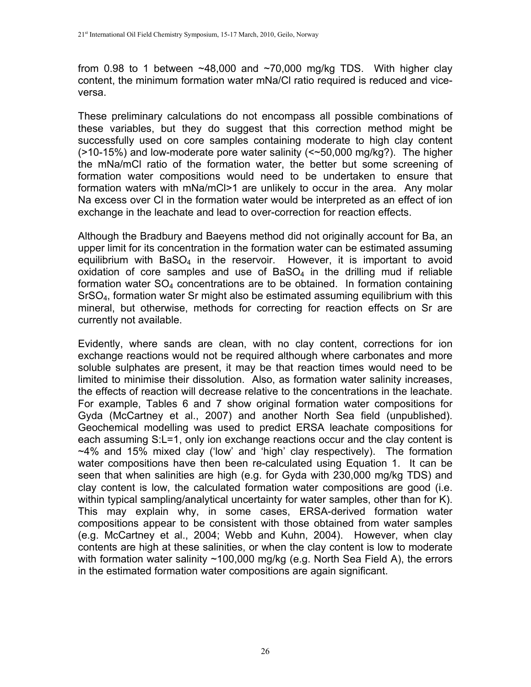from 0.98 to 1 between  $\sim$  48,000 and  $\sim$  70,000 mg/kg TDS. With higher clay content, the minimum formation water mNa/Cl ratio required is reduced and viceversa.

These preliminary calculations do not encompass all possible combinations of these variables, but they do suggest that this correction method might be successfully used on core samples containing moderate to high clay content (>10-15%) and low-moderate pore water salinity (<~50,000 mg/kg?). The higher the mNa/mCl ratio of the formation water, the better but some screening of formation water compositions would need to be undertaken to ensure that formation waters with mNa/mCl>1 are unlikely to occur in the area. Any molar Na excess over Cl in the formation water would be interpreted as an effect of ion exchange in the leachate and lead to over-correction for reaction effects.

Although the Bradbury and Baeyens method did not originally account for Ba, an upper limit for its concentration in the formation water can be estimated assuming equilibrium with  $BaSO<sub>4</sub>$  in the reservoir. However, it is important to avoid oxidation of core samples and use of  $BaSO<sub>4</sub>$  in the drilling mud if reliable formation water  $SO<sub>4</sub>$  concentrations are to be obtained. In formation containing SrSO4, formation water Sr might also be estimated assuming equilibrium with this mineral, but otherwise, methods for correcting for reaction effects on Sr are currently not available.

Evidently, where sands are clean, with no clay content, corrections for ion exchange reactions would not be required although where carbonates and more soluble sulphates are present, it may be that reaction times would need to be limited to minimise their dissolution. Also, as formation water salinity increases, the effects of reaction will decrease relative to the concentrations in the leachate. For example, Tables 6 and 7 show original formation water compositions for Gyda (McCartney et al., 2007) and another North Sea field (unpublished). Geochemical modelling was used to predict ERSA leachate compositions for each assuming S:L=1, only ion exchange reactions occur and the clay content is ~4% and 15% mixed clay ('low' and 'high' clay respectively). The formation water compositions have then been re-calculated using Equation 1. It can be seen that when salinities are high (e.g. for Gyda with 230,000 mg/kg TDS) and clay content is low, the calculated formation water compositions are good (i.e. within typical sampling/analytical uncertainty for water samples, other than for K). This may explain why, in some cases, ERSA-derived formation water compositions appear to be consistent with those obtained from water samples (e.g. McCartney et al., 2004; Webb and Kuhn, 2004). However, when clay contents are high at these salinities, or when the clay content is low to moderate with formation water salinity ~100,000 mg/kg (e.g. North Sea Field A), the errors in the estimated formation water compositions are again significant.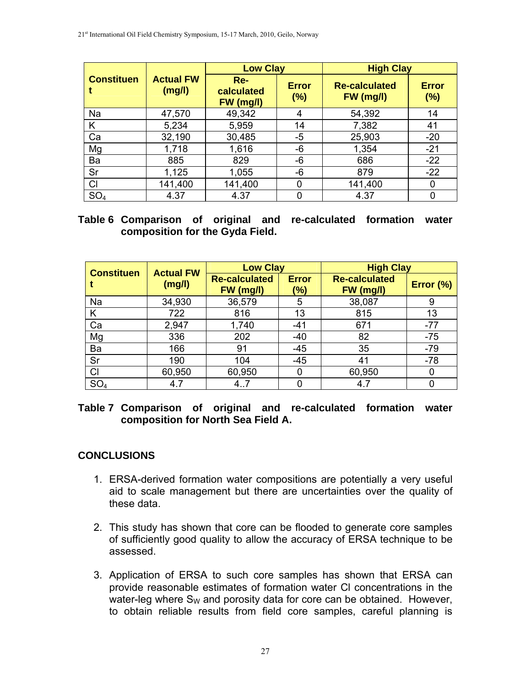|                   |                            | <b>Low Clay</b>                  |                     | <b>High Clay</b>                  |                        |
|-------------------|----------------------------|----------------------------------|---------------------|-----------------------------------|------------------------|
| <b>Constituen</b> | <b>Actual FW</b><br>(mg/l) | $Re-$<br>calculated<br>FW (mg/l) | <b>Error</b><br>(%) | <b>Re-calculated</b><br>FW (mg/l) | <b>Error</b><br>$(\%)$ |
| Na                | 47,570                     | 49,342                           | 4                   | 54,392                            | 14                     |
| K                 | 5,234                      | 5,959                            | 14                  | 7,382                             | 41                     |
| Ca                | 32,190                     | 30,485                           | -5                  | 25,903                            | $-20$                  |
| Mg                | 1,718                      | 1,616                            | -6                  | 1,354                             | $-21$                  |
| Ba                | 885                        | 829                              | -6                  | 686                               | $-22$                  |
| Sr                | 1,125                      | 1,055                            | -6                  | 879                               | $-22$                  |
| CI                | 141,400                    | 141,400                          | 0                   | 141,400                           | 0                      |
| SO <sub>4</sub>   | 4.37                       | 4.37                             |                     | 4.37                              | 0                      |

### **Table 6 Comparison of original and re-calculated formation water composition for the Gyda Field.**

| <b>Constituen</b> | <b>Actual FW</b><br>(mg/l) | <b>Low Clay</b>                   |                     | <b>High Clay</b>                  |           |  |
|-------------------|----------------------------|-----------------------------------|---------------------|-----------------------------------|-----------|--|
|                   |                            | <b>Re-calculated</b><br>FW (mg/l) | <b>Error</b><br>(%) | <b>Re-calculated</b><br>FW (mg/l) | Error (%) |  |
| Na                | 34,930                     | 36,579                            | 5                   | 38,087                            | 9         |  |
| K                 | 722                        | 816                               | 13                  | 815                               | 13        |  |
| Ca                | 2,947                      | 1,740                             | $-41$               | 671                               | $-77$     |  |
| Mg                | 336                        | 202                               | $-40$               | 82                                | $-75$     |  |
| Ba                | 166                        | 91                                | $-45$               | 35                                | $-79$     |  |
| Sr                | 190                        | 104                               | $-45$               | 41                                | $-78$     |  |
| CI                | 60,950                     | 60,950                            |                     | 60,950                            | 0         |  |
| SO <sub>4</sub>   | 4.7                        | 4.7                               |                     | 4.7                               |           |  |

### **Table 7 Comparison of original and re-calculated formation water composition for North Sea Field A.**

# **CONCLUSIONS**

- 1. ERSA-derived formation water compositions are potentially a very useful aid to scale management but there are uncertainties over the quality of these data.
- 2. This study has shown that core can be flooded to generate core samples of sufficiently good quality to allow the accuracy of ERSA technique to be assessed.
- 3. Application of ERSA to such core samples has shown that ERSA can provide reasonable estimates of formation water Cl concentrations in the water-leg where  $S_W$  and porosity data for core can be obtained. However, to obtain reliable results from field core samples, careful planning is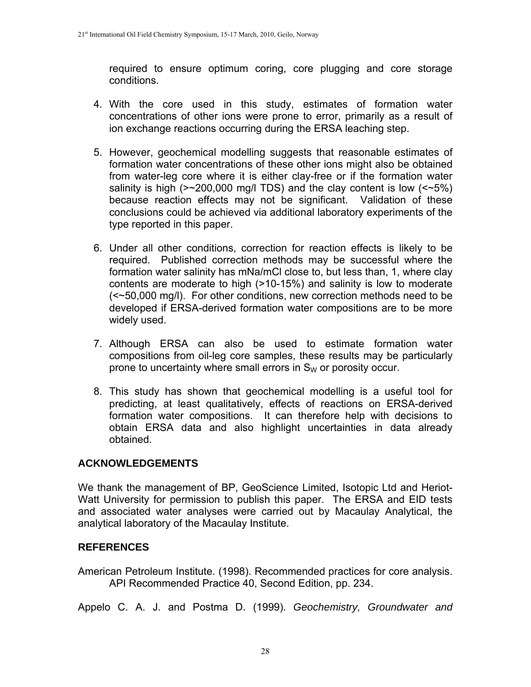required to ensure optimum coring, core plugging and core storage conditions.

- 4. With the core used in this study, estimates of formation water concentrations of other ions were prone to error, primarily as a result of ion exchange reactions occurring during the ERSA leaching step.
- 5. However, geochemical modelling suggests that reasonable estimates of formation water concentrations of these other ions might also be obtained from water-leg core where it is either clay-free or if the formation water salinity is high  $(>=200,000 \text{ mg/l} \text{ TDS})$  and the clay content is low  $(*\text{-}5\%)$ because reaction effects may not be significant. Validation of these conclusions could be achieved via additional laboratory experiments of the type reported in this paper.
- 6. Under all other conditions, correction for reaction effects is likely to be required. Published correction methods may be successful where the formation water salinity has mNa/mCl close to, but less than, 1, where clay contents are moderate to high (>10-15%) and salinity is low to moderate (<~50,000 mg/l). For other conditions, new correction methods need to be developed if ERSA-derived formation water compositions are to be more widely used.
- 7. Although ERSA can also be used to estimate formation water compositions from oil-leg core samples, these results may be particularly prone to uncertainty where small errors in  $S_W$  or porosity occur.
- 8. This study has shown that geochemical modelling is a useful tool for predicting, at least qualitatively, effects of reactions on ERSA-derived formation water compositions. It can therefore help with decisions to obtain ERSA data and also highlight uncertainties in data already obtained.

# **ACKNOWLEDGEMENTS**

We thank the management of BP, GeoScience Limited, Isotopic Ltd and Heriot-Watt University for permission to publish this paper. The ERSA and EID tests and associated water analyses were carried out by Macaulay Analytical, the analytical laboratory of the Macaulay Institute.

# **REFERENCES**

American Petroleum Institute. (1998). Recommended practices for core analysis. API Recommended Practice 40, Second Edition, pp. 234.

Appelo C. A. J. and Postma D. (1999). *Geochemistry, Groundwater and*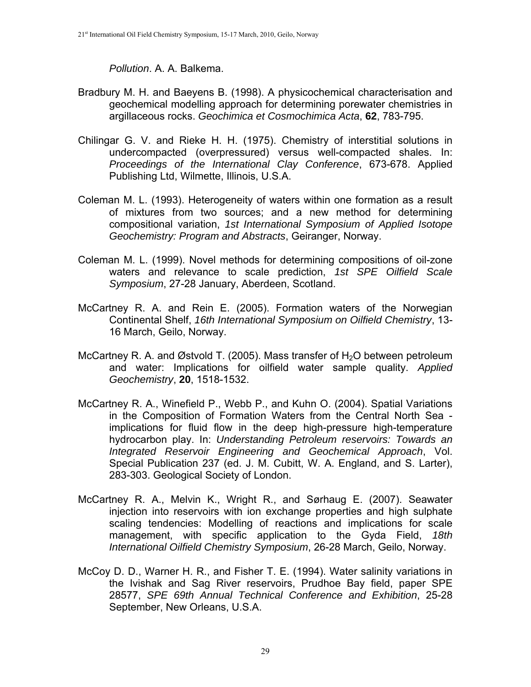#### *Pollution*. A. A. Balkema.

- Bradbury M. H. and Baeyens B. (1998). A physicochemical characterisation and geochemical modelling approach for determining porewater chemistries in argillaceous rocks. *Geochimica et Cosmochimica Acta*, **62**, 783-795.
- Chilingar G. V. and Rieke H. H. (1975). Chemistry of interstitial solutions in undercompacted (overpressured) versus well-compacted shales. In: *Proceedings of the International Clay Conference*, 673-678. Applied Publishing Ltd, Wilmette, Illinois, U.S.A.
- Coleman M. L. (1993). Heterogeneity of waters within one formation as a result of mixtures from two sources; and a new method for determining compositional variation, *1st International Symposium of Applied Isotope Geochemistry: Program and Abstracts*, Geiranger, Norway.
- Coleman M. L. (1999). Novel methods for determining compositions of oil-zone waters and relevance to scale prediction, *1st SPE Oilfield Scale Symposium*, 27-28 January, Aberdeen, Scotland.
- McCartney R. A. and Rein E. (2005). Formation waters of the Norwegian Continental Shelf, *16th International Symposium on Oilfield Chemistry*, 13- 16 March, Geilo, Norway.
- McCartney R. A. and Østvold T. (2005). Mass transfer of  $H_2O$  between petroleum and water: Implications for oilfield water sample quality. *Applied Geochemistry*, **20**, 1518-1532.
- McCartney R. A., Winefield P., Webb P., and Kuhn O. (2004). Spatial Variations in the Composition of Formation Waters from the Central North Sea implications for fluid flow in the deep high-pressure high-temperature hydrocarbon play. In: *Understanding Petroleum reservoirs: Towards an Integrated Reservoir Engineering and Geochemical Approach*, Vol. Special Publication 237 (ed. J. M. Cubitt, W. A. England, and S. Larter), 283-303. Geological Society of London.
- McCartney R. A., Melvin K., Wright R., and Sørhaug E. (2007). Seawater injection into reservoirs with ion exchange properties and high sulphate scaling tendencies: Modelling of reactions and implications for scale management, with specific application to the Gyda Field, *18th International Oilfield Chemistry Symposium*, 26-28 March, Geilo, Norway.
- McCoy D. D., Warner H. R., and Fisher T. E. (1994). Water salinity variations in the Ivishak and Sag River reservoirs, Prudhoe Bay field, paper SPE 28577, *SPE 69th Annual Technical Conference and Exhibition*, 25-28 September, New Orleans, U.S.A.